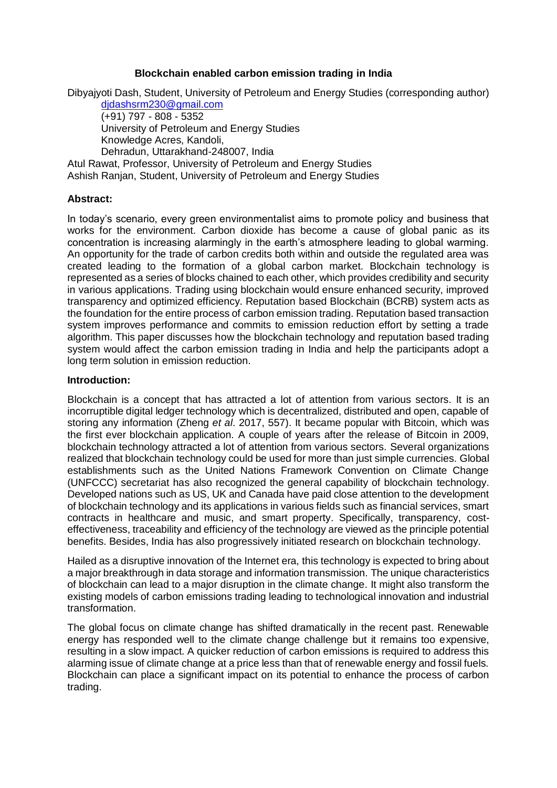#### **Blockchain enabled carbon emission trading in India**

Dibyajyoti Dash, Student, University of Petroleum and Energy Studies (corresponding author)

[djdashsrm230@gmail.com](mailto:djdashsrm230@gmail.com) (+91) 797 - 808 - 5352 University of Petroleum and Energy Studies Knowledge Acres, Kandoli, Dehradun, Uttarakhand-248007, India

Atul Rawat, Professor, University of Petroleum and Energy Studies Ashish Ranjan, Student, University of Petroleum and Energy Studies

## **Abstract:**

In today's scenario, every green environmentalist aims to promote policy and business that works for the environment. Carbon dioxide has become a cause of global panic as its concentration is increasing alarmingly in the earth's atmosphere leading to global warming. An opportunity for the trade of carbon credits both within and outside the regulated area was created leading to the formation of a global carbon market. Blockchain technology is represented as a series of blocks chained to each other, which provides credibility and security in various applications. Trading using blockchain would ensure enhanced security, improved transparency and optimized efficiency. Reputation based Blockchain (BCRB) system acts as the foundation for the entire process of carbon emission trading. Reputation based transaction system improves performance and commits to emission reduction effort by setting a trade algorithm. This paper discusses how the blockchain technology and reputation based trading system would affect the carbon emission trading in India and help the participants adopt a long term solution in emission reduction.

#### **Introduction:**

Blockchain is a concept that has attracted a lot of attention from various sectors. It is an incorruptible digital ledger technology which is decentralized, distributed and open, capable of storing any information (Zheng *et al*. 2017, 557). It became popular with Bitcoin, which was the first ever blockchain application. A couple of years after the release of Bitcoin in 2009, blockchain technology attracted a lot of attention from various sectors. Several organizations realized that blockchain technology could be used for more than just simple currencies. Global establishments such as the United Nations Framework Convention on Climate Change (UNFCCC) secretariat has also recognized the general capability of blockchain technology. Developed nations such as US, UK and Canada have paid close attention to the development of blockchain technology and its applications in various fields such as financial services, smart contracts in healthcare and music, and smart property. Specifically, transparency, costeffectiveness, traceability and efficiency of the technology are viewed as the principle potential benefits. Besides, India has also progressively initiated research on blockchain technology.

Hailed as a disruptive innovation of the Internet era, this technology is expected to bring about a major breakthrough in data storage and information transmission. The unique characteristics of blockchain can lead to a major disruption in the climate change. It might also transform the existing models of carbon emissions trading leading to technological innovation and industrial transformation.

The global focus on climate change has shifted dramatically in the recent past. Renewable energy has responded well to the climate change challenge but it remains too expensive, resulting in a slow impact. A quicker reduction of carbon emissions is required to address this alarming issue of climate change at a price less than that of renewable energy and fossil fuels. Blockchain can place a significant impact on its potential to enhance the process of carbon trading.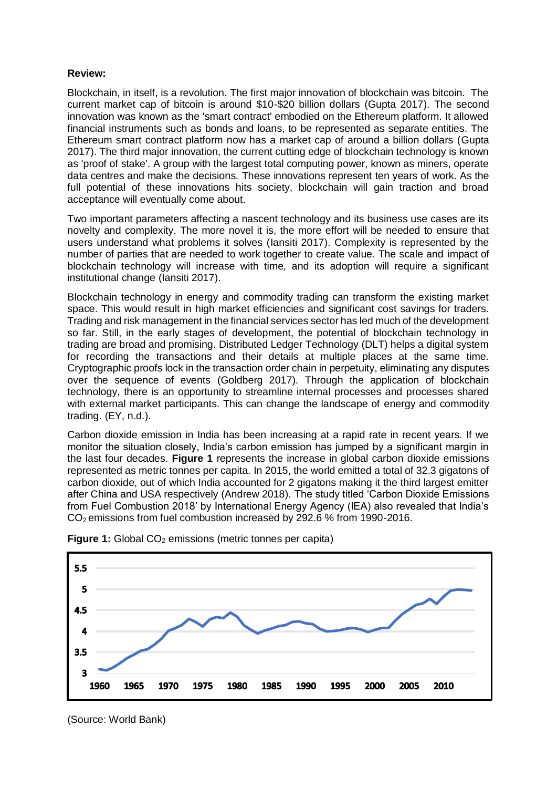## **Review:**

Blockchain, in itself, is a revolution. The first major innovation of blockchain was bitcoin. The current market cap of bitcoin is around \$10-\$20 billion dollars (Gupta 2017). The second innovation was known as the 'smart contract' embodied on the Ethereum platform. It allowed financial instruments such as bonds and loans, to be represented as separate entities. The Ethereum smart contract platform now has a market cap of around a billion dollars (Gupta 2017). The third major innovation, the current cutting edge of blockchain technology is known as 'proof of stake'. A group with the largest total computing power, known as miners, operate data centres and make the decisions. These innovations represent ten years of work. As the full potential of these innovations hits society, blockchain will gain traction and broad acceptance will eventually come about.

Two important parameters affecting a nascent technology and its business use cases are its novelty and complexity. The more novel it is, the more effort will be needed to ensure that users understand what problems it solves (Iansiti 2017). Complexity is represented by the number of parties that are needed to work together to create value. The scale and impact of blockchain technology will increase with time, and its adoption will require a significant institutional change (Iansiti 2017).

Blockchain technology in energy and commodity trading can transform the existing market space. This would result in high market efficiencies and significant cost savings for traders. Trading and risk management in the financial services sector has led much of the development so far. Still, in the early stages of development, the potential of blockchain technology in trading are broad and promising. Distributed Ledger Technology (DLT) helps a digital system for recording the transactions and their details at multiple places at the same time. Cryptographic proofs lock in the transaction order chain in perpetuity, eliminating any disputes over the sequence of events (Goldberg 2017). Through the application of blockchain technology, there is an opportunity to streamline internal processes and processes shared with external market participants. This can change the landscape of energy and commodity trading. (EY, n.d.).

Carbon dioxide emission in India has been increasing at a rapid rate in recent years. If we monitor the situation closely, India's carbon emission has jumped by a significant margin in the last four decades. **Figure 1** represents the increase in global carbon dioxide emissions represented as metric tonnes per capita. In 2015, the world emitted a total of 32.3 gigatons of carbon dioxide, out of which India accounted for 2 gigatons making it the third largest emitter after China and USA respectively (Andrew 2018). The study titled 'Carbon Dioxide Emissions from Fuel Combustion 2018' by International Energy Agency (IEA) also revealed that India's CO2 emissions from fuel combustion increased by 292.6 % from 1990-2016.





(Source: World Bank)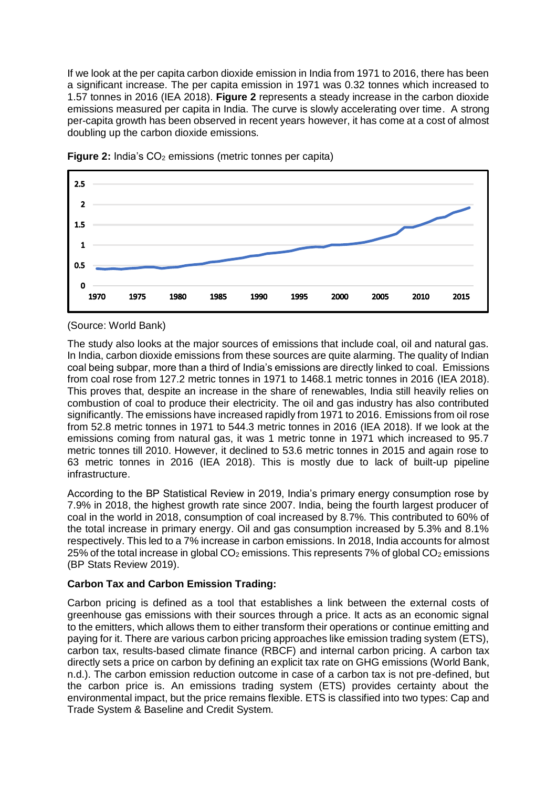If we look at the per capita carbon dioxide emission in India from 1971 to 2016, there has been a significant increase. The per capita emission in 1971 was 0.32 tonnes which increased to 1.57 tonnes in 2016 (IEA 2018). **Figure 2** represents a steady increase in the carbon dioxide emissions measured per capita in India. The curve is slowly accelerating over time. A strong per-capita growth has been observed in recent years however, it has come at a cost of almost doubling up the carbon dioxide emissions.



**Figure 2:** India's CO<sub>2</sub> emissions (metric tonnes per capita)

(Source: World Bank)

The study also looks at the major sources of emissions that include coal, oil and natural gas. In India, carbon dioxide emissions from these sources are quite alarming. The quality of Indian coal being subpar, more than a third of India's emissions are directly linked to coal. Emissions from coal rose from 127.2 metric tonnes in 1971 to 1468.1 metric tonnes in 2016 (IEA 2018). This proves that, despite an increase in the share of renewables, India still heavily relies on combustion of coal to produce their electricity. The oil and gas industry has also contributed significantly. The emissions have increased rapidly from 1971 to 2016. Emissions from oil rose from 52.8 metric tonnes in 1971 to 544.3 metric tonnes in 2016 (IEA 2018). If we look at the emissions coming from natural gas, it was 1 metric tonne in 1971 which increased to 95.7 metric tonnes till 2010. However, it declined to 53.6 metric tonnes in 2015 and again rose to 63 metric tonnes in 2016 (IEA 2018). This is mostly due to lack of built-up pipeline infrastructure.

According to the BP Statistical Review in 2019, India's primary energy consumption rose by 7.9% in 2018, the highest growth rate since 2007. India, being the fourth largest producer of coal in the world in 2018, consumption of coal increased by 8.7%. This contributed to 60% of the total increase in primary energy. Oil and gas consumption increased by 5.3% and 8.1% respectively. This led to a 7% increase in carbon emissions. In 2018, India accounts for almost 25% of the total increase in global  $CO<sub>2</sub>$  emissions. This represents 7% of global  $CO<sub>2</sub>$  emissions (BP Stats Review 2019).

# **Carbon Tax and Carbon Emission Trading:**

Carbon pricing is defined as a tool that establishes a link between the external costs of greenhouse gas emissions with their sources through a price. It acts as an economic signal to the emitters, which allows them to either transform their operations or continue emitting and paying for it. There are various carbon pricing approaches like emission trading system (ETS), carbon tax, results-based climate finance (RBCF) and internal carbon pricing. A carbon tax directly sets a price on carbon by defining an explicit tax rate on GHG emissions (World Bank, n.d.). The carbon emission reduction outcome in case of a carbon tax is not pre-defined, but the carbon price is. An emissions trading system (ETS) provides certainty about the environmental impact, but the price remains flexible. ETS is classified into two types: Cap and Trade System & Baseline and Credit System.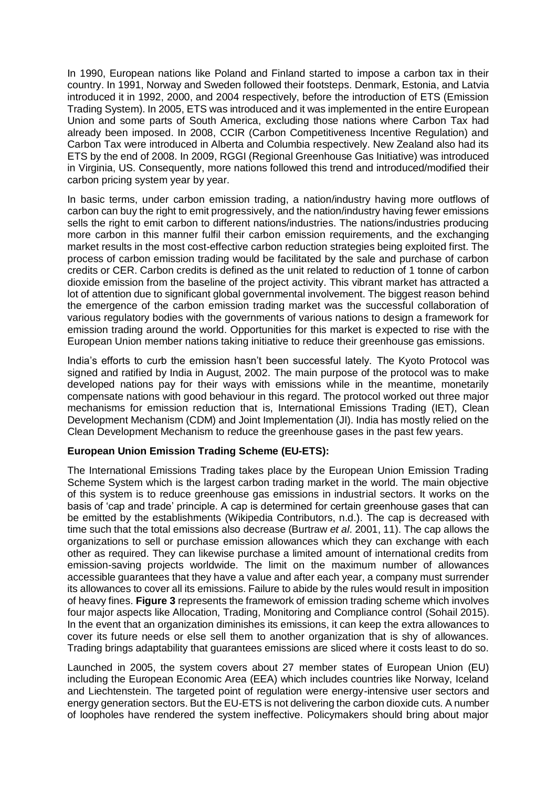In 1990, European nations like Poland and Finland started to impose a carbon tax in their country. In 1991, Norway and Sweden followed their footsteps. Denmark, Estonia, and Latvia introduced it in 1992, 2000, and 2004 respectively, before the introduction of ETS (Emission Trading System). In 2005, ETS was introduced and it was implemented in the entire European Union and some parts of South America, excluding those nations where Carbon Tax had already been imposed. In 2008, CCIR (Carbon Competitiveness Incentive Regulation) and Carbon Tax were introduced in Alberta and Columbia respectively. New Zealand also had its ETS by the end of 2008. In 2009, RGGI (Regional Greenhouse Gas Initiative) was introduced in Virginia, US. Consequently, more nations followed this trend and introduced/modified their carbon pricing system year by year.

In basic terms, under carbon emission trading, a nation/industry having more outflows of carbon can buy the right to emit progressively, and the nation/industry having fewer emissions sells the right to emit carbon to different nations/industries. The nations/industries producing more carbon in this manner fulfil their carbon emission requirements, and the exchanging market results in the most cost-effective carbon reduction strategies being exploited first. The process of carbon emission trading would be facilitated by the sale and purchase of carbon credits or CER. Carbon credits is defined as the unit related to reduction of 1 tonne of carbon dioxide emission from the baseline of the project activity. This vibrant market has attracted a lot of attention due to significant global governmental involvement. The biggest reason behind the emergence of the carbon emission trading market was the successful collaboration of various regulatory bodies with the governments of various nations to design a framework for emission trading around the world. Opportunities for this market is expected to rise with the European Union member nations taking initiative to reduce their greenhouse gas emissions.

India's efforts to curb the emission hasn't been successful lately. The Kyoto Protocol was signed and ratified by India in August, 2002. The main purpose of the protocol was to make developed nations pay for their ways with emissions while in the meantime, monetarily compensate nations with good behaviour in this regard. The protocol worked out three major mechanisms for emission reduction that is, International Emissions Trading (IET), Clean Development Mechanism (CDM) and Joint Implementation (JI). India has mostly relied on the Clean Development Mechanism to reduce the greenhouse gases in the past few years.

## **European Union Emission Trading Scheme (EU-ETS):**

The International Emissions Trading takes place by the European Union Emission Trading Scheme System which is the largest carbon trading market in the world. The main objective of this system is to reduce greenhouse gas emissions in industrial sectors. It works on the basis of 'cap and trade' principle. A cap is determined for certain greenhouse gases that can be emitted by the establishments (Wikipedia Contributors, n.d.). The cap is decreased with time such that the total emissions also decrease (Burtraw *et al*. 2001, 11). The cap allows the organizations to sell or purchase emission allowances which they can exchange with each other as required. They can likewise purchase a limited amount of international credits from emission-saving projects worldwide. The limit on the maximum number of allowances accessible guarantees that they have a value and after each year, a company must surrender its allowances to cover all its emissions. Failure to abide by the rules would result in imposition of heavy fines. **Figure 3** represents the framework of emission trading scheme which involves four major aspects like Allocation, Trading, Monitoring and Compliance control (Sohail 2015). In the event that an organization diminishes its emissions, it can keep the extra allowances to cover its future needs or else sell them to another organization that is shy of allowances. Trading brings adaptability that guarantees emissions are sliced where it costs least to do so.

Launched in 2005, the system covers about 27 member states of European Union (EU) including the European Economic Area (EEA) which includes countries like Norway, Iceland and Liechtenstein. The targeted point of regulation were energy-intensive user sectors and energy generation sectors. But the EU-ETS is not delivering the carbon dioxide cuts. A number of loopholes have rendered the system ineffective. Policymakers should bring about major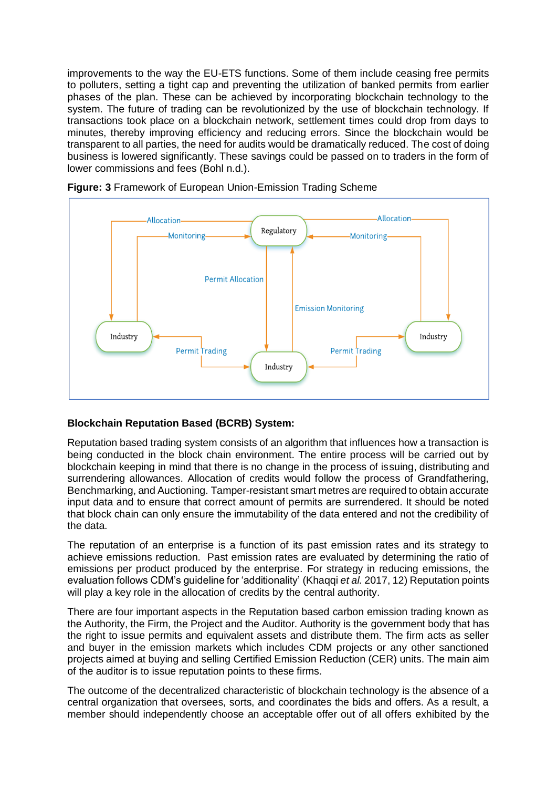improvements to the way the EU-ETS functions. Some of them include ceasing free permits to polluters, setting a tight cap and preventing the utilization of banked permits from earlier phases of the plan. These can be achieved by incorporating blockchain technology to the system. The future of trading can be revolutionized by the use of blockchain technology. If transactions took place on a blockchain network, settlement times could drop from days to minutes, thereby improving efficiency and reducing errors. Since the blockchain would be transparent to all parties, the need for audits would be dramatically reduced. The cost of doing business is lowered significantly. These savings could be passed on to traders in the form of lower commissions and fees (Bohl n.d.).



**Figure: 3** Framework of European Union-Emission Trading Scheme

## **Blockchain Reputation Based (BCRB) System:**

Reputation based trading system consists of an algorithm that influences how a transaction is being conducted in the block chain environment. The entire process will be carried out by blockchain keeping in mind that there is no change in the process of issuing, distributing and surrendering allowances. Allocation of credits would follow the process of Grandfathering, Benchmarking, and Auctioning. Tamper-resistant smart metres are required to obtain accurate input data and to ensure that correct amount of permits are surrendered. It should be noted that block chain can only ensure the immutability of the data entered and not the credibility of the data.

The reputation of an enterprise is a function of its past emission rates and its strategy to achieve emissions reduction. Past emission rates are evaluated by determining the ratio of emissions per product produced by the enterprise. For strategy in reducing emissions, the evaluation follows CDM's guideline for 'additionality' (Khaqqi *et al.* 2017, 12) Reputation points will play a key role in the allocation of credits by the central authority.

There are four important aspects in the Reputation based carbon emission trading known as the Authority, the Firm, the Project and the Auditor. Authority is the government body that has the right to issue permits and equivalent assets and distribute them. The firm acts as seller and buyer in the emission markets which includes CDM projects or any other sanctioned projects aimed at buying and selling Certified Emission Reduction (CER) units. The main aim of the auditor is to issue reputation points to these firms.

The outcome of the decentralized characteristic of blockchain technology is the absence of a central organization that oversees, sorts, and coordinates the bids and offers. As a result, a member should independently choose an acceptable offer out of all offers exhibited by the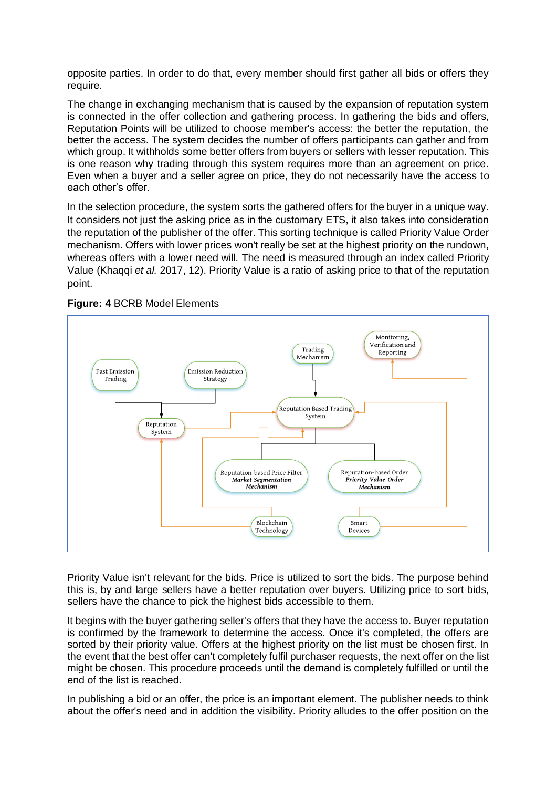opposite parties. In order to do that, every member should first gather all bids or offers they require.

The change in exchanging mechanism that is caused by the expansion of reputation system is connected in the offer collection and gathering process. In gathering the bids and offers, Reputation Points will be utilized to choose member's access: the better the reputation, the better the access. The system decides the number of offers participants can gather and from which group. It withholds some better offers from buyers or sellers with lesser reputation. This is one reason why trading through this system requires more than an agreement on price. Even when a buyer and a seller agree on price, they do not necessarily have the access to each other's offer.

In the selection procedure, the system sorts the gathered offers for the buyer in a unique way. It considers not just the asking price as in the customary ETS, it also takes into consideration the reputation of the publisher of the offer. This sorting technique is called Priority Value Order mechanism. Offers with lower prices won't really be set at the highest priority on the rundown, whereas offers with a lower need will. The need is measured through an index called Priority Value (Khaqqi *et al.* 2017, 12). Priority Value is a ratio of asking price to that of the reputation point.



#### **Figure: 4** BCRB Model Elements

Priority Value isn't relevant for the bids. Price is utilized to sort the bids. The purpose behind this is, by and large sellers have a better reputation over buyers. Utilizing price to sort bids, sellers have the chance to pick the highest bids accessible to them.

It begins with the buyer gathering seller's offers that they have the access to. Buyer reputation is confirmed by the framework to determine the access. Once it's completed, the offers are sorted by their priority value. Offers at the highest priority on the list must be chosen first. In the event that the best offer can't completely fulfil purchaser requests, the next offer on the list might be chosen. This procedure proceeds until the demand is completely fulfilled or until the end of the list is reached.

In publishing a bid or an offer, the price is an important element. The publisher needs to think about the offer's need and in addition the visibility. Priority alludes to the offer position on the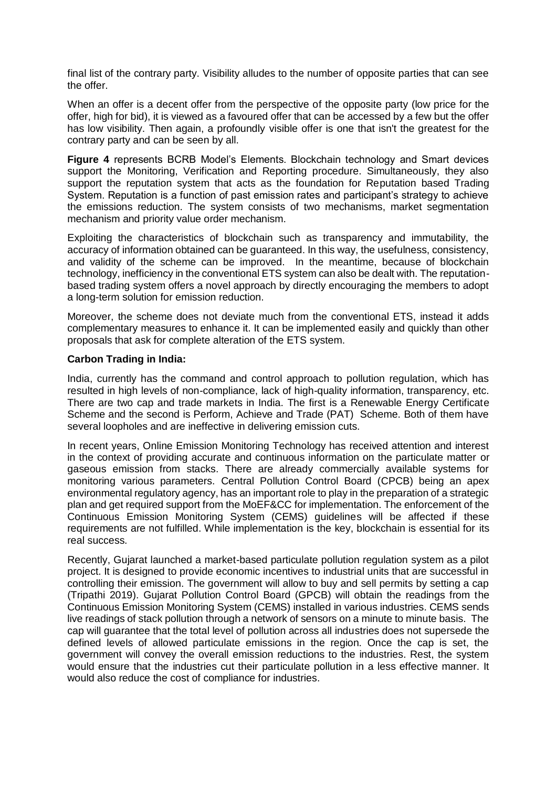final list of the contrary party. Visibility alludes to the number of opposite parties that can see the offer.

When an offer is a decent offer from the perspective of the opposite party (low price for the offer, high for bid), it is viewed as a favoured offer that can be accessed by a few but the offer has low visibility. Then again, a profoundly visible offer is one that isn't the greatest for the contrary party and can be seen by all.

**Figure 4** represents BCRB Model's Elements. Blockchain technology and Smart devices support the Monitoring, Verification and Reporting procedure. Simultaneously, they also support the reputation system that acts as the foundation for Reputation based Trading System. Reputation is a function of past emission rates and participant's strategy to achieve the emissions reduction. The system consists of two mechanisms, market segmentation mechanism and priority value order mechanism.

Exploiting the characteristics of blockchain such as transparency and immutability, the accuracy of information obtained can be guaranteed. In this way, the usefulness, consistency, and validity of the scheme can be improved. In the meantime, because of blockchain technology, inefficiency in the conventional ETS system can also be dealt with. The reputationbased trading system offers a novel approach by directly encouraging the members to adopt a long-term solution for emission reduction.

Moreover, the scheme does not deviate much from the conventional ETS, instead it adds complementary measures to enhance it. It can be implemented easily and quickly than other proposals that ask for complete alteration of the ETS system.

## **Carbon Trading in India:**

India, currently has the command and control approach to pollution regulation, which has resulted in high levels of non-compliance, lack of high-quality information, transparency, etc. There are two cap and trade markets in India. The first is a Renewable Energy Certificate Scheme and the second is Perform, Achieve and Trade (PAT) Scheme. Both of them have several loopholes and are ineffective in delivering emission cuts.

In recent years, Online Emission Monitoring Technology has received attention and interest in the context of providing accurate and continuous information on the particulate matter or gaseous emission from stacks. There are already commercially available systems for monitoring various parameters. Central Pollution Control Board (CPCB) being an apex environmental regulatory agency, has an important role to play in the preparation of a strategic plan and get required support from the MoEF&CC for implementation. The enforcement of the Continuous Emission Monitoring System (CEMS) guidelines will be affected if these requirements are not fulfilled. While implementation is the key, blockchain is essential for its real success.

Recently, Gujarat launched a market-based particulate pollution regulation system as a pilot project. It is designed to provide economic incentives to industrial units that are successful in controlling their emission. The government will allow to buy and sell permits by setting a cap (Tripathi 2019). Gujarat Pollution Control Board (GPCB) will obtain the readings from the Continuous Emission Monitoring System (CEMS) installed in various industries. CEMS sends live readings of stack pollution through a network of sensors on a minute to minute basis. The cap will guarantee that the total level of pollution across all industries does not supersede the defined levels of allowed particulate emissions in the region. Once the cap is set, the government will convey the overall emission reductions to the industries. Rest, the system would ensure that the industries cut their particulate pollution in a less effective manner. It would also reduce the cost of compliance for industries.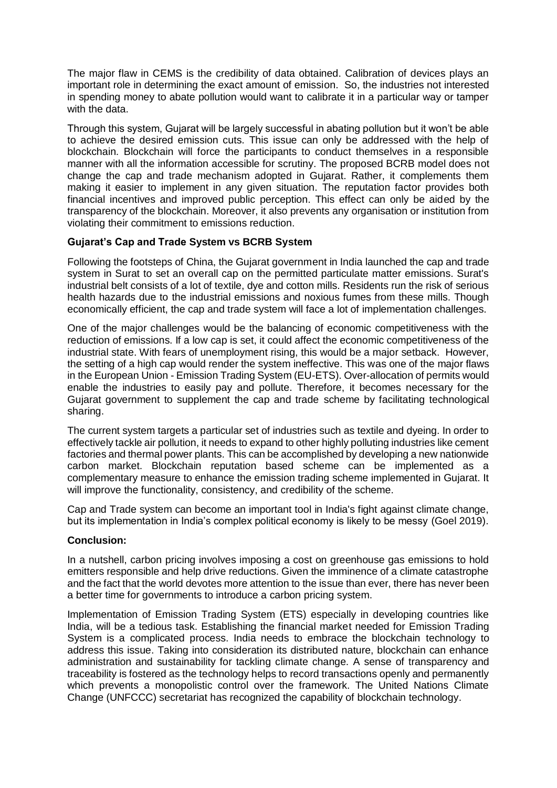The major flaw in CEMS is the credibility of data obtained. Calibration of devices plays an important role in determining the exact amount of emission. So, the industries not interested in spending money to abate pollution would want to calibrate it in a particular way or tamper with the data.

Through this system, Gujarat will be largely successful in abating pollution but it won't be able to achieve the desired emission cuts. This issue can only be addressed with the help of blockchain. Blockchain will force the participants to conduct themselves in a responsible manner with all the information accessible for scrutiny. The proposed BCRB model does not change the cap and trade mechanism adopted in Gujarat. Rather, it complements them making it easier to implement in any given situation. The reputation factor provides both financial incentives and improved public perception. This effect can only be aided by the transparency of the blockchain. Moreover, it also prevents any organisation or institution from violating their commitment to emissions reduction.

## **Gujarat's Cap and Trade System vs BCRB System**

Following the footsteps of China, the Gujarat government in India launched the cap and trade system in Surat to set an overall cap on the permitted particulate matter emissions. Surat's industrial belt consists of a lot of textile, dye and cotton mills. Residents run the risk of serious health hazards due to the industrial emissions and noxious fumes from these mills. Though economically efficient, the cap and trade system will face a lot of implementation challenges.

One of the major challenges would be the balancing of economic competitiveness with the reduction of emissions. If a low cap is set, it could affect the economic competitiveness of the industrial state. With fears of unemployment rising, this would be a major setback. However, the setting of a high cap would render the system ineffective. This was one of the major flaws in the European Union - Emission Trading System (EU-ETS). Over-allocation of permits would enable the industries to easily pay and pollute. Therefore, it becomes necessary for the Gujarat government to supplement the cap and trade scheme by facilitating technological sharing.

The current system targets a particular set of industries such as textile and dyeing. In order to effectively tackle air pollution, it needs to expand to other highly polluting industries like cement factories and thermal power plants. This can be accomplished by developing a new nationwide carbon market. Blockchain reputation based scheme can be implemented as a complementary measure to enhance the emission trading scheme implemented in Gujarat. It will improve the functionality, consistency, and credibility of the scheme.

Cap and Trade system can become an important tool in India's fight against climate change, but its implementation in India's complex political economy is likely to be messy (Goel 2019).

## **Conclusion:**

In a nutshell, carbon pricing involves imposing a cost on greenhouse gas emissions to hold emitters responsible and help drive reductions. Given the imminence of a climate catastrophe and the fact that the world devotes more attention to the issue than ever, there has never been a better time for governments to introduce a carbon pricing system.

Implementation of Emission Trading System (ETS) especially in developing countries like India, will be a tedious task. Establishing the financial market needed for Emission Trading System is a complicated process. India needs to embrace the blockchain technology to address this issue. Taking into consideration its distributed nature, blockchain can enhance administration and sustainability for tackling climate change. A sense of transparency and traceability is fostered as the technology helps to record transactions openly and permanently which prevents a monopolistic control over the framework. The United Nations Climate Change (UNFCCC) secretariat has recognized the capability of blockchain technology.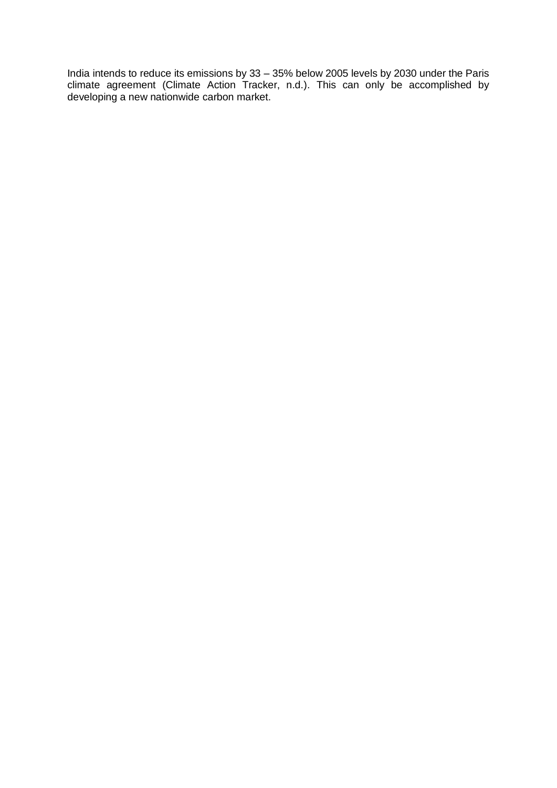India intends to reduce its emissions by 33 – 35% below 2005 levels by 2030 under the Paris climate agreement (Climate Action Tracker, n.d.). This can only be accomplished by developing a new nationwide carbon market.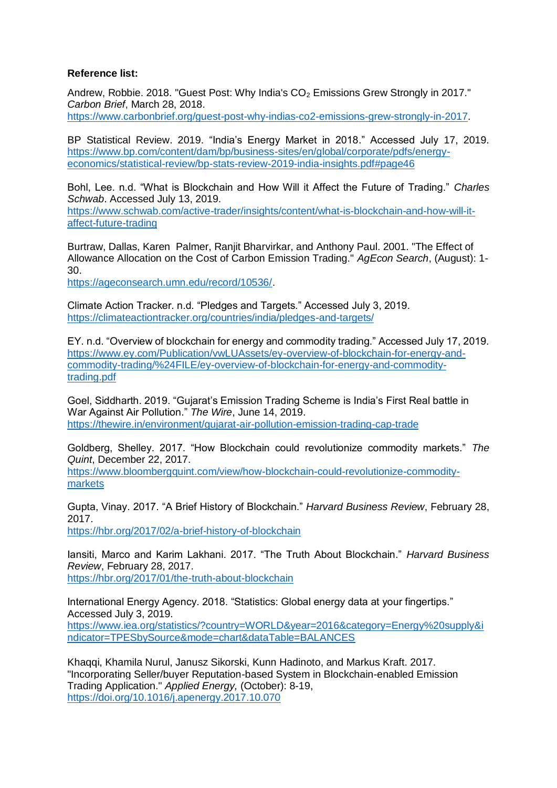#### **Reference list:**

Andrew, Robbie. 2018. "Guest Post: Why India's CO<sub>2</sub> Emissions Grew Strongly in 2017." *Carbon Brief*, March 28, 2018. [https://www.carbonbrief.org/guest-post-why-indias-co2-emissions-grew-strongly-in-2017.](https://www.carbonbrief.org/guest-post-why-indias-co2-emissions-grew-strongly-in-2017)

BP Statistical Review. 2019. "India's Energy Market in 2018." Accessed July 17, 2019. [https://www.bp.com/content/dam/bp/business-sites/en/global/corporate/pdfs/energy](https://www.bp.com/content/dam/bp/business-sites/en/global/corporate/pdfs/energy-economics/statistical-review/bp-stats-review-2019-india-insights.pdf#page46)[economics/statistical-review/bp-stats-review-2019-india-insights.pdf#page46](https://www.bp.com/content/dam/bp/business-sites/en/global/corporate/pdfs/energy-economics/statistical-review/bp-stats-review-2019-india-insights.pdf#page46)

Bohl, Lee. n.d. "What is Blockchain and How Will it Affect the Future of Trading." *Charles Schwab*. Accessed July 13, 2019.

[https://www.schwab.com/active-trader/insights/content/what-is-blockchain-and-how-will-it](https://www.schwab.com/active-trader/insights/content/what-is-blockchain-and-how-will-it-affect-future-trading)[affect-future-trading](https://www.schwab.com/active-trader/insights/content/what-is-blockchain-and-how-will-it-affect-future-trading)

Burtraw, Dallas, Karen Palmer, Ranjit Bharvirkar, and Anthony Paul. 2001. "The Effect of Allowance Allocation on the Cost of Carbon Emission Trading." *AgEcon Search*, (August): 1- 30.

[https://ageconsearch.umn.edu/record/10536/.](https://ageconsearch.umn.edu/record/10536/)

Climate Action Tracker. n.d. "Pledges and Targets." Accessed July 3, 2019. <https://climateactiontracker.org/countries/india/pledges-and-targets/>

EY. n.d. "Overview of blockchain for energy and commodity trading." Accessed July 17, 2019. [https://www.ey.com/Publication/vwLUAssets/ey-overview-of-blockchain-for-energy-and](https://www.ey.com/Publication/vwLUAssets/ey-overview-of-blockchain-for-energy-and-commodity-trading/%24FILE/ey-overview-of-blockchain-for-energy-and-commodity-trading.pdf)[commodity-trading/%24FILE/ey-overview-of-blockchain-for-energy-and-commodity](https://www.ey.com/Publication/vwLUAssets/ey-overview-of-blockchain-for-energy-and-commodity-trading/%24FILE/ey-overview-of-blockchain-for-energy-and-commodity-trading.pdf)[trading.pdf](https://www.ey.com/Publication/vwLUAssets/ey-overview-of-blockchain-for-energy-and-commodity-trading/%24FILE/ey-overview-of-blockchain-for-energy-and-commodity-trading.pdf)

Goel, Siddharth. 2019. "Gujarat's Emission Trading Scheme is India's First Real battle in War Against Air Pollution." *The Wire*, June 14, 2019. <https://thewire.in/environment/gujarat-air-pollution-emission-trading-cap-trade>

Goldberg, Shelley. 2017. "How Blockchain could revolutionize commodity markets." *The Quint*, December 22, 2017.

[https://www.bloombergquint.com/view/how-blockchain-could-revolutionize-commodity](https://www.bloombergquint.com/view/how-blockchain-could-revolutionize-commodity-markets)[markets](https://www.bloombergquint.com/view/how-blockchain-could-revolutionize-commodity-markets)

Gupta, Vinay. 2017. "A Brief History of Blockchain." *Harvard Business Review*, February 28, 2017.

<https://hbr.org/2017/02/a-brief-history-of-blockchain>

Iansiti, Marco and Karim Lakhani. 2017. "The Truth About Blockchain." *Harvard Business Review*, February 28, 2017. <https://hbr.org/2017/01/the-truth-about-blockchain>

International Energy Agency. 2018. "Statistics: Global energy data at your fingertips." Accessed July 3, 2019. [https://www.iea.org/statistics/?country=WORLD&year=2016&category=Energy%20supply&i](https://www.iea.org/statistics/?country=WORLD&year=2016&category=Energy%20supply&indicator=TPESbySource&mode=chart&dataTable=BALANCES) [ndicator=TPESbySource&mode=chart&dataTable=BALANCES](https://www.iea.org/statistics/?country=WORLD&year=2016&category=Energy%20supply&indicator=TPESbySource&mode=chart&dataTable=BALANCES)

Khaqqi, Khamila Nurul, Janusz Sikorski, Kunn Hadinoto, and Markus Kraft. 2017. "Incorporating Seller/buyer Reputation-based System in Blockchain-enabled Emission Trading Application." *Applied Energy,* (October): 8-19, <https://doi.org/10.1016/j.apenergy.2017.10.070>